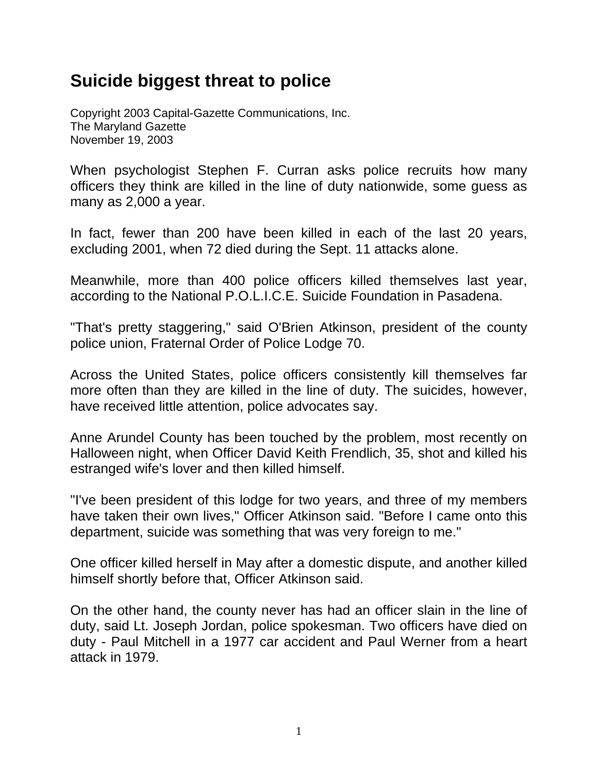## **Suicide biggest threat to police**

Copyright 2003 Capital-Gazette Communications, Inc. The Maryland Gazette November 19, 2003

When psychologist Stephen F. Curran asks police recruits how many officers they think are killed in the line of duty nationwide, some guess as many as 2,000 a year.

In fact, fewer than 200 have been killed in each of the last 20 years, excluding 2001, when 72 died during the Sept. 11 attacks alone.

Meanwhile, more than 400 police officers killed themselves last year, according to the National P.O.L.I.C.E. Suicide Foundation in Pasadena.

"That's pretty staggering," said O'Brien Atkinson, president of the county police union, Fraternal Order of Police Lodge 70.

Across the United States, police officers consistently kill themselves far more often than they are killed in the line of duty. The suicides, however, have received little attention, police advocates say.

Anne Arundel County has been touched by the problem, most recently on Halloween night, when Officer David Keith Frendlich, 35, shot and killed his estranged wife's lover and then killed himself.

"I've been president of this lodge for two years, and three of my members have taken their own lives," Officer Atkinson said. "Before I came onto this department, suicide was something that was very foreign to me."

One officer killed herself in May after a domestic dispute, and another killed himself shortly before that, Officer Atkinson said.

On the other hand, the county never has had an officer slain in the line of duty, said Lt. Joseph Jordan, police spokesman. Two officers have died on duty - Paul Mitchell in a 1977 car accident and Paul Werner from a heart attack in 1979.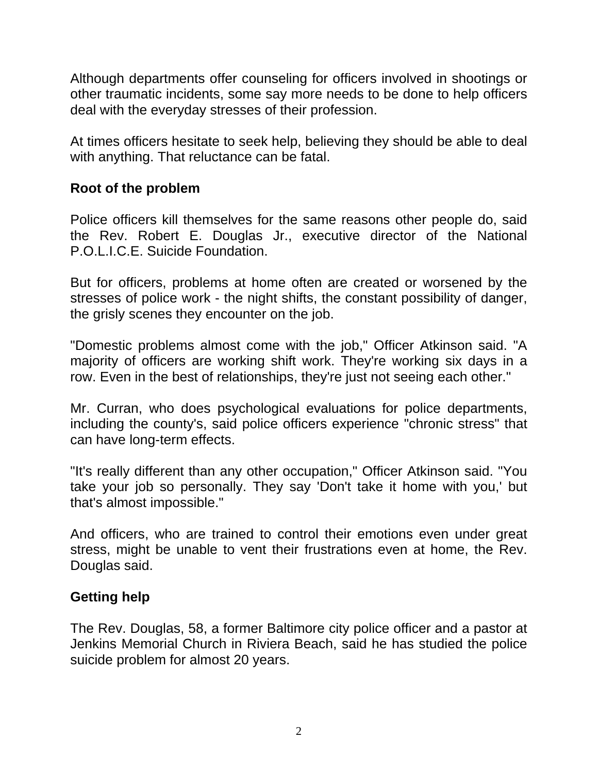Although departments offer counseling for officers involved in shootings or other traumatic incidents, some say more needs to be done to help officers deal with the everyday stresses of their profession.

At times officers hesitate to seek help, believing they should be able to deal with anything. That reluctance can be fatal.

## **Root of the problem**

Police officers kill themselves for the same reasons other people do, said the Rev. Robert E. Douglas Jr., executive director of the National P.O.L.I.C.E. Suicide Foundation.

But for officers, problems at home often are created or worsened by the stresses of police work - the night shifts, the constant possibility of danger, the grisly scenes they encounter on the job.

"Domestic problems almost come with the job," Officer Atkinson said. "A majority of officers are working shift work. They're working six days in a row. Even in the best of relationships, they're just not seeing each other."

Mr. Curran, who does psychological evaluations for police departments, including the county's, said police officers experience "chronic stress" that can have long-term effects.

"It's really different than any other occupation," Officer Atkinson said. "You take your job so personally. They say 'Don't take it home with you,' but that's almost impossible."

And officers, who are trained to control their emotions even under great stress, might be unable to vent their frustrations even at home, the Rev. Douglas said.

## **Getting help**

The Rev. Douglas, 58, a former Baltimore city police officer and a pastor at Jenkins Memorial Church in Riviera Beach, said he has studied the police suicide problem for almost 20 years.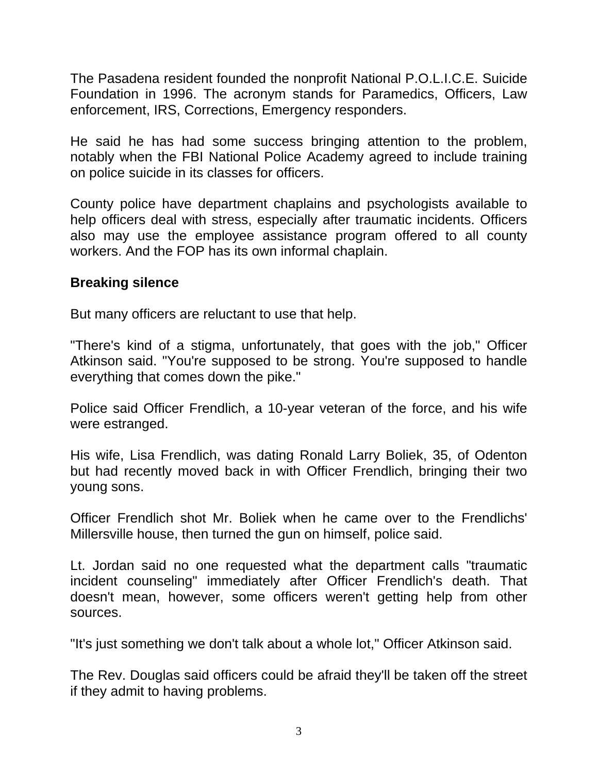The Pasadena resident founded the nonprofit National P.O.L.I.C.E. Suicide Foundation in 1996. The acronym stands for Paramedics, Officers, Law enforcement, IRS, Corrections, Emergency responders.

He said he has had some success bringing attention to the problem, notably when the FBI National Police Academy agreed to include training on police suicide in its classes for officers.

County police have department chaplains and psychologists available to help officers deal with stress, especially after traumatic incidents. Officers also may use the employee assistance program offered to all county workers. And the FOP has its own informal chaplain.

## **Breaking silence**

But many officers are reluctant to use that help.

"There's kind of a stigma, unfortunately, that goes with the job," Officer Atkinson said. "You're supposed to be strong. You're supposed to handle everything that comes down the pike."

Police said Officer Frendlich, a 10-year veteran of the force, and his wife were estranged.

His wife, Lisa Frendlich, was dating Ronald Larry Boliek, 35, of Odenton but had recently moved back in with Officer Frendlich, bringing their two young sons.

Officer Frendlich shot Mr. Boliek when he came over to the Frendlichs' Millersville house, then turned the gun on himself, police said.

Lt. Jordan said no one requested what the department calls "traumatic incident counseling" immediately after Officer Frendlich's death. That doesn't mean, however, some officers weren't getting help from other sources.

"It's just something we don't talk about a whole lot," Officer Atkinson said.

The Rev. Douglas said officers could be afraid they'll be taken off the street if they admit to having problems.